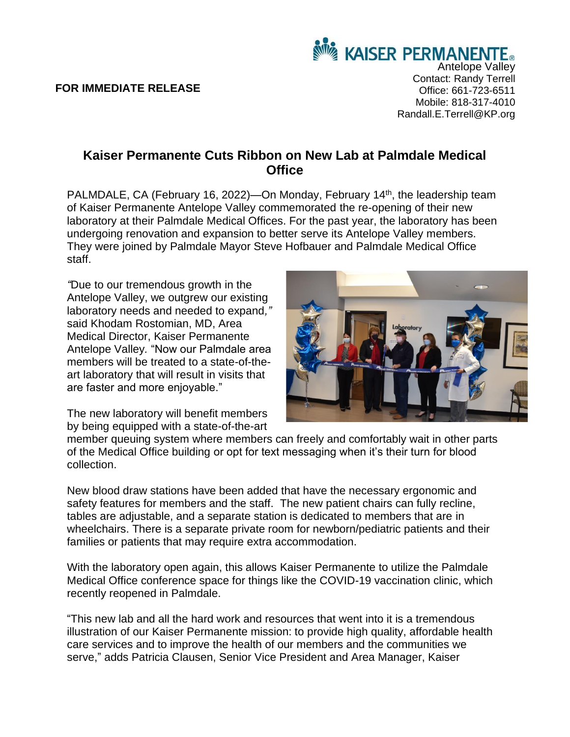## **FOR IMMEDIATE RELEASE**

**KAISER PERMANENTE.** Antelope Valley Contact: Randy Terrell Office: 661-723-6511 Mobile: 818-317-4010 Randall.E.Terrell@KP.org

## **Kaiser Permanente Cuts Ribbon on New Lab at Palmdale Medical Office**

PALMDALE, CA (February 16, 2022)—On Monday, February 14<sup>th</sup>, the leadership team of Kaiser Permanente Antelope Valley commemorated the re-opening of their new laboratory at their Palmdale Medical Offices. For the past year, the laboratory has been undergoing renovation and expansion to better serve its Antelope Valley members. They were joined by Palmdale Mayor Steve Hofbauer and Palmdale Medical Office staff.

*"*Due to our tremendous growth in the Antelope Valley, we outgrew our existing laboratory needs and needed to expand*,"*  said Khodam Rostomian, MD, Area Medical Director, Kaiser Permanente Antelope Valley*.* "Now our Palmdale area members will be treated to a state-of-theart laboratory that will result in visits that are faster and more enjoyable."

The new laboratory will benefit members by being equipped with a state-of-the-art



member queuing system where members can freely and comfortably wait in other parts of the Medical Office building or opt for text messaging when it's their turn for blood collection.

New blood draw stations have been added that have the necessary ergonomic and safety features for members and the staff. The new patient chairs can fully recline, tables are adjustable, and a separate station is dedicated to members that are in wheelchairs. There is a separate private room for newborn/pediatric patients and their families or patients that may require extra accommodation.

With the laboratory open again, this allows Kaiser Permanente to utilize the Palmdale Medical Office conference space for things like the COVID-19 vaccination clinic, which recently reopened in Palmdale.

"This new lab and all the hard work and resources that went into it is a tremendous illustration of our Kaiser Permanente mission: to provide high quality, affordable health care services and to improve the health of our members and the communities we serve," adds Patricia Clausen, Senior Vice President and Area Manager, Kaiser